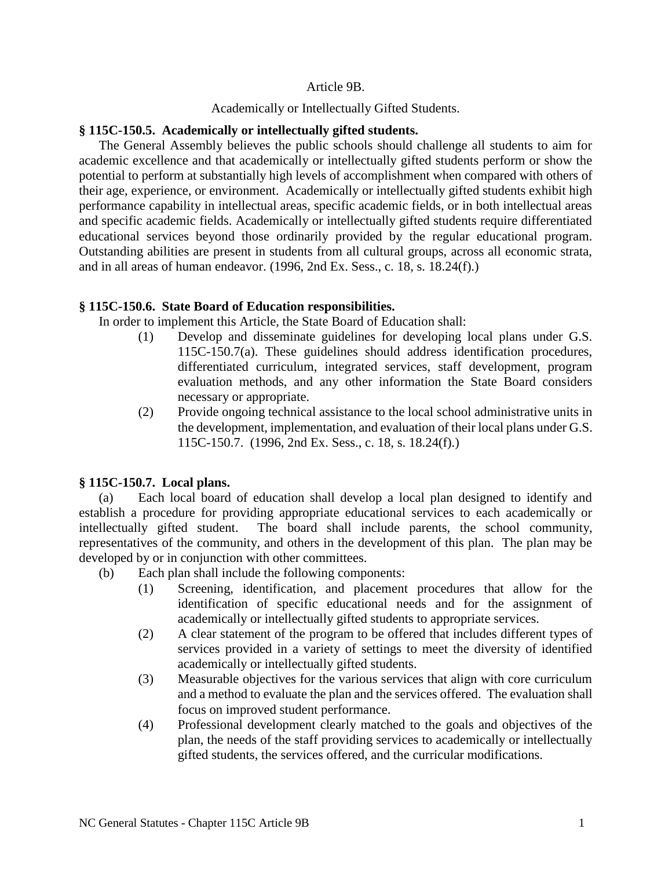### Article 9B.

#### Academically or Intellectually Gifted Students.

### **§ 115C-150.5. Academically or intellectually gifted students.**

The General Assembly believes the public schools should challenge all students to aim for academic excellence and that academically or intellectually gifted students perform or show the potential to perform at substantially high levels of accomplishment when compared with others of their age, experience, or environment. Academically or intellectually gifted students exhibit high performance capability in intellectual areas, specific academic fields, or in both intellectual areas and specific academic fields. Academically or intellectually gifted students require differentiated educational services beyond those ordinarily provided by the regular educational program. Outstanding abilities are present in students from all cultural groups, across all economic strata, and in all areas of human endeavor. (1996, 2nd Ex. Sess., c. 18, s. 18.24(f).)

# **§ 115C-150.6. State Board of Education responsibilities.**

In order to implement this Article, the State Board of Education shall:

- (1) Develop and disseminate guidelines for developing local plans under G.S. 115C-150.7(a). These guidelines should address identification procedures, differentiated curriculum, integrated services, staff development, program evaluation methods, and any other information the State Board considers necessary or appropriate.
- (2) Provide ongoing technical assistance to the local school administrative units in the development, implementation, and evaluation of their local plans under G.S. 115C-150.7. (1996, 2nd Ex. Sess., c. 18, s. 18.24(f).)

# **§ 115C-150.7. Local plans.**

(a) Each local board of education shall develop a local plan designed to identify and establish a procedure for providing appropriate educational services to each academically or intellectually gifted student. The board shall include parents, the school community, representatives of the community, and others in the development of this plan. The plan may be developed by or in conjunction with other committees.

- (b) Each plan shall include the following components:
	- (1) Screening, identification, and placement procedures that allow for the identification of specific educational needs and for the assignment of academically or intellectually gifted students to appropriate services.
	- (2) A clear statement of the program to be offered that includes different types of services provided in a variety of settings to meet the diversity of identified academically or intellectually gifted students.
	- (3) Measurable objectives for the various services that align with core curriculum and a method to evaluate the plan and the services offered. The evaluation shall focus on improved student performance.
	- (4) Professional development clearly matched to the goals and objectives of the plan, the needs of the staff providing services to academically or intellectually gifted students, the services offered, and the curricular modifications.